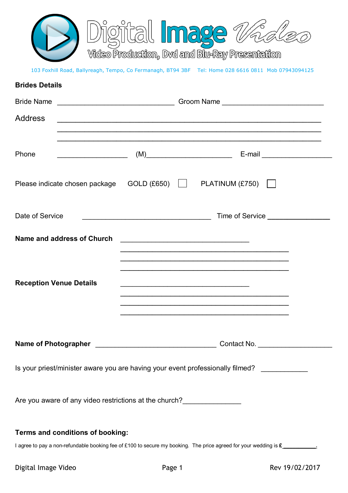

## 103 Foxhill Road, Ballyreagh, Tempo, Co Fermanagh, BT94 3BF Tel: Home 028 6616 0811 Mob 07943094125

# **Brides Details**

| Address                                                                        |                                                                                                                      |  |  |                                                                                                                      |  |
|--------------------------------------------------------------------------------|----------------------------------------------------------------------------------------------------------------------|--|--|----------------------------------------------------------------------------------------------------------------------|--|
|                                                                                |                                                                                                                      |  |  |                                                                                                                      |  |
| Phone                                                                          | <u> Alexandria de la contrada de la contrada de la contrada de la contrada de la contrada de la contrada de la c</u> |  |  |                                                                                                                      |  |
|                                                                                |                                                                                                                      |  |  | Please indicate chosen package  GOLD (£650)   PLATINUM (£750)                                                        |  |
| Date of Service                                                                |                                                                                                                      |  |  |                                                                                                                      |  |
| Name and address of Church                                                     |                                                                                                                      |  |  |                                                                                                                      |  |
|                                                                                |                                                                                                                      |  |  |                                                                                                                      |  |
| <b>Reception Venue Details</b>                                                 |                                                                                                                      |  |  |                                                                                                                      |  |
|                                                                                |                                                                                                                      |  |  | <u> 1989 - Johann John Harry Harry Harry Harry Harry Harry Harry Harry Harry Harry Harry Harry Harry Harry Harry</u> |  |
|                                                                                |                                                                                                                      |  |  |                                                                                                                      |  |
|                                                                                |                                                                                                                      |  |  | Contact No.                                                                                                          |  |
| Is your priest/minister aware you are having your event professionally filmed? |                                                                                                                      |  |  |                                                                                                                      |  |
| Are you aware of any video restrictions at the church?                         |                                                                                                                      |  |  |                                                                                                                      |  |
| Terms and conditions of booking:                                               |                                                                                                                      |  |  |                                                                                                                      |  |

I agree to pay a non-refundable booking fee of £100 to secure my booking. The price agreed for your wedding is £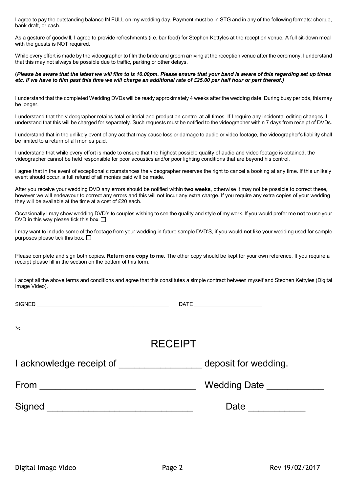I agree to pay the outstanding balance IN FULL on my wedding day. Payment must be in STG and in any of the following formats: cheque, bank draft, or cash.

As a gesture of goodwill, I agree to provide refreshments (i.e. bar food) for Stephen Kettyles at the reception venue. A full sit-down meal with the quests is NOT required.

While every effort is made by the videographer to film the bride and groom arriving at the reception venue after the ceremony, I understand that this may not always be possible due to traffic, parking or other delays.

#### **(***Please be aware that the latest we will film to is 10.00pm. Please ensure that your band is aware of this regarding set up times etc. If we have to film past this time we will charge an additional rate of £25.00 per half hour or part thereof.)*

I understand that the completed Wedding DVDs will be ready approximately 4 weeks after the wedding date. During busy periods, this may be longer.

I understand that the videographer retains total editorial and production control at all times. If I require any incidental editing changes, I understand that this will be charged for separately. Such requests must be notified to the videographer within 7 days from receipt of DVDs.

I understand that in the unlikely event of any act that may cause loss or damage to audio or video footage, the videographer's liability shall be limited to a return of all monies paid.

I understand that while every effort is made to ensure that the highest possible quality of audio and video footage is obtained, the videographer cannot be held responsible for poor acoustics and/or poor lighting conditions that are beyond his control.

I agree that in the event of exceptional circumstances the videographer reserves the right to cancel a booking at any time. If this unlikely event should occur, a full refund of all monies paid will be made.

After you receive your wedding DVD any errors should be notified within **two weeks**, otherwise it may not be possible to correct these, however we will endeavour to correct any errors and this will not incur any extra charge. If you require any extra copies of your wedding they will be available at the time at a cost of £20 each.

Occasionally I may show wedding DVD's to couples wishing to see the quality and style of my work. If you would prefer me **not** to use your DVD in this way please tick this box.  $\Box$ 

I may want to include some of the footage from your wedding in future sample DVD'S, if you would **not** like your wedding used for sample purposes please tick this box.  $\square$ 

Please complete and sign both copies. **Return one copy to me**. The other copy should be kept for your own reference. If you require a receipt please fill in the section on the bottom of this form.

I accept all the above terms and conditions and agree that this constitutes a simple contract between myself and Stephen Kettyles (Digital Image Video).

SIGNED \_\_\_\_\_\_\_\_\_\_\_\_\_\_\_\_\_\_\_\_\_\_\_\_\_\_\_\_\_\_\_\_\_\_\_\_\_\_\_\_\_\_\_\_\_ DATE \_\_\_\_\_\_\_\_\_\_\_\_\_\_\_\_\_\_\_\_\_\_\_

---------------------------------------------------------------------------------------------------------------------------------------------------------------------------------

| .                        |                      |
|--------------------------|----------------------|
| I acknowledge receipt of | deposit for wedding. |
| From                     | <b>Wedding Date</b>  |
| Signed                   | Date                 |

**RECEIPT**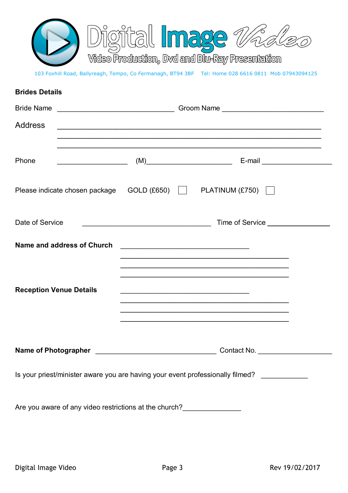

103 Foxhill Road, Ballyreagh, Tempo, Co Fermanagh, BT94 3BF Tel: Home 028 6616 0811 Mob 07943094125

| <b>Brides Details</b>                                                          |                                                   |  |                                                                                                                                                                                                                                                                                                                                                              |  |
|--------------------------------------------------------------------------------|---------------------------------------------------|--|--------------------------------------------------------------------------------------------------------------------------------------------------------------------------------------------------------------------------------------------------------------------------------------------------------------------------------------------------------------|--|
|                                                                                |                                                   |  |                                                                                                                                                                                                                                                                                                                                                              |  |
| <b>Address</b>                                                                 |                                                   |  |                                                                                                                                                                                                                                                                                                                                                              |  |
|                                                                                |                                                   |  |                                                                                                                                                                                                                                                                                                                                                              |  |
| Phone                                                                          |                                                   |  |                                                                                                                                                                                                                                                                                                                                                              |  |
| Please indicate chosen package  GOLD (£650)   PLATINUM (£750)                  |                                                   |  |                                                                                                                                                                                                                                                                                                                                                              |  |
| Date of Service                                                                | <u> 1989 - Johann Barbara, martxa alemaniar a</u> |  | Time of Service ________________                                                                                                                                                                                                                                                                                                                             |  |
| Name and address of Church                                                     |                                                   |  |                                                                                                                                                                                                                                                                                                                                                              |  |
| <b>Reception Venue Details</b>                                                 |                                                   |  | <u> 1990 - Johann John Harry Harry Harry Harry Harry Harry Harry Harry Harry Harry Harry Harry Harry Harry Harry</u><br><u> 1969 - Johann John Stone, market fan de Amerikaanske kommunister op de Amerikaanske kommunister op de Amerikaanske kommunister op de Amerikaanske kommunister op de Amerikaanske kommunister op de Amerikaanske kommunister </u> |  |
|                                                                                |                                                   |  | Contact No.                                                                                                                                                                                                                                                                                                                                                  |  |
| Is your priest/minister aware you are having your event professionally filmed? |                                                   |  |                                                                                                                                                                                                                                                                                                                                                              |  |
| Are you aware of any video restrictions at the church?                         |                                                   |  |                                                                                                                                                                                                                                                                                                                                                              |  |